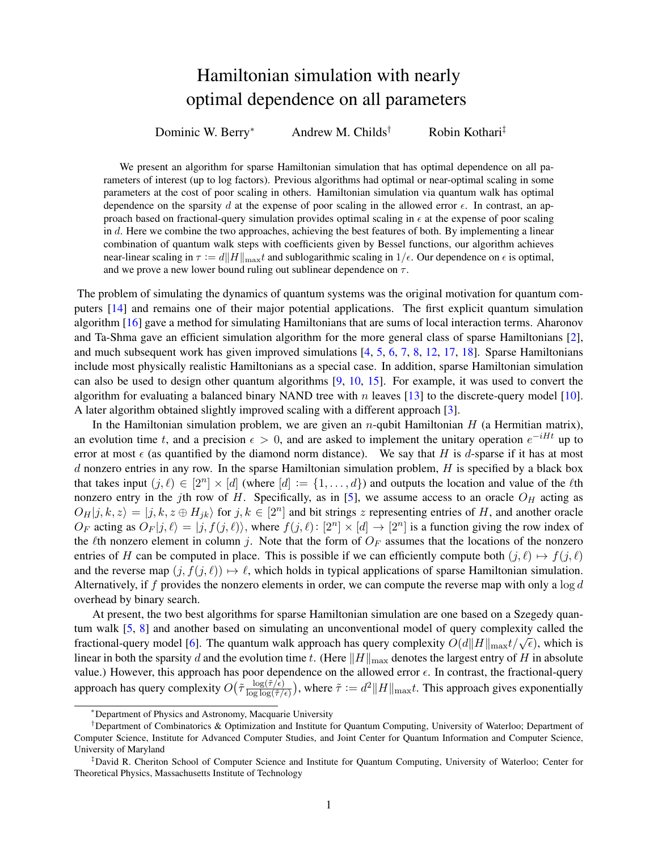## Hamiltonian simulation with nearly optimal dependence on all parameters

Dominic W. Berry<sup>∗</sup> Andrew M. Childs<sup>†</sup> Robin Kothari<sup>‡</sup>

We present an algorithm for sparse Hamiltonian simulation that has optimal dependence on all parameters of interest (up to log factors). Previous algorithms had optimal or near-optimal scaling in some parameters at the cost of poor scaling in others. Hamiltonian simulation via quantum walk has optimal dependence on the sparsity d at the expense of poor scaling in the allowed error  $\epsilon$ . In contrast, an approach based on fractional-query simulation provides optimal scaling in  $\epsilon$  at the expense of poor scaling in d. Here we combine the two approaches, achieving the best features of both. By implementing a linear combination of quantum walk steps with coefficients given by Bessel functions, our algorithm achieves near-linear scaling in  $\tau := d||H||_{\text{max}}t$  and sublogarithmic scaling in  $1/\epsilon$ . Our dependence on  $\epsilon$  is optimal, and we prove a new lower bound ruling out sublinear dependence on  $\tau$ .

The problem of simulating the dynamics of quantum systems was the original motivation for quantum computers [\[14\]](#page-3-0) and remains one of their major potential applications. The first explicit quantum simulation algorithm [\[16\]](#page-3-1) gave a method for simulating Hamiltonians that are sums of local interaction terms. Aharonov and Ta-Shma gave an efficient simulation algorithm for the more general class of sparse Hamiltonians [\[2\]](#page-3-2), and much subsequent work has given improved simulations [\[4,](#page-3-3) [5,](#page-3-4) [6,](#page-3-5) [7,](#page-3-6) [8,](#page-3-7) [12,](#page-3-8) [17,](#page-4-0) [18\]](#page-4-1). Sparse Hamiltonians include most physically realistic Hamiltonians as a special case. In addition, sparse Hamiltonian simulation can also be used to design other quantum algorithms [\[9,](#page-3-9) [10,](#page-3-10) [15\]](#page-3-11). For example, it was used to convert the algorithm for evaluating a balanced binary NAND tree with n leaves [\[13\]](#page-3-12) to the discrete-query model [\[10\]](#page-3-10). A later algorithm obtained slightly improved scaling with a different approach [\[3\]](#page-3-13).

In the Hamiltonian simulation problem, we are given an  $n$ -qubit Hamiltonian  $H$  (a Hermitian matrix), an evolution time t, and a precision  $\epsilon > 0$ , and are asked to implement the unitary operation  $e^{-iHt}$  up to error at most  $\epsilon$  (as quantified by the diamond norm distance). We say that H is d-sparse if it has at most d nonzero entries in any row. In the sparse Hamiltonian simulation problem,  $H$  is specified by a black box that takes input  $(j, \ell) \in [2^n] \times [d]$  (where  $[d] := \{1, \ldots, d\}$ ) and outputs the location and value of the  $\ell$ th nonzero entry in the jth row of H. Specifically, as in [\[5\]](#page-3-4), we assume access to an oracle  $O_H$  acting as  $O_H|j,k,z\rangle = |j,k,z \oplus H_{jk}\rangle$  for  $j,k \in [2^n]$  and bit strings z representing entries of H, and another oracle  $O_F$  acting as  $O_F|j, \ell\rangle = |j, f(j, \ell)\rangle$ , where  $f(j, \ell): [2^n] \times [d] \to [2^n]$  is a function giving the row index of the  $\ell$ th nonzero element in column j. Note that the form of  $O_F$  assumes that the locations of the nonzero entries of H can be computed in place. This is possible if we can efficiently compute both  $(j, \ell) \mapsto f(j, \ell)$ and the reverse map  $(j, f(j, \ell)) \mapsto \ell$ , which holds in typical applications of sparse Hamiltonian simulation. Alternatively, if f provides the nonzero elements in order, we can compute the reverse map with only a  $\log d$ overhead by binary search.

At present, the two best algorithms for sparse Hamiltonian simulation are one based on a Szegedy quantum walk [\[5,](#page-3-4) [8\]](#page-3-7) and another based on simulating an unconventional model of query complexity called the fractional-query model [\[6\]](#page-3-5). The quantum walk approach has query complexity  $O(d||H||_{\text{max}}t/\sqrt{\epsilon})$ , which is linear in both the sparsity d and the evolution time t. (Here  $||H||_{\text{max}}$  denotes the largest entry of H in absolute value.) However, this approach has poor dependence on the allowed error  $\epsilon$ . In contrast, the fractional-query approach has query complexity  $O(\tilde{\tau} \frac{\log(\tilde{\tau}/\epsilon)}{\log \log(\tilde{\tau}/\epsilon)})$  $\frac{\log(\tilde{\tau}/\epsilon)}{\log \log(\tilde{\tau}/\epsilon)}$ , where  $\tilde{\tau} := d^2 ||H||_{\max}$ . This approach gives exponentially

<sup>∗</sup>Department of Physics and Astronomy, Macquarie University

<sup>†</sup>Department of Combinatorics & Optimization and Institute for Quantum Computing, University of Waterloo; Department of Computer Science, Institute for Advanced Computer Studies, and Joint Center for Quantum Information and Computer Science, University of Maryland

<sup>‡</sup>David R. Cheriton School of Computer Science and Institute for Quantum Computing, University of Waterloo; Center for Theoretical Physics, Massachusetts Institute of Technology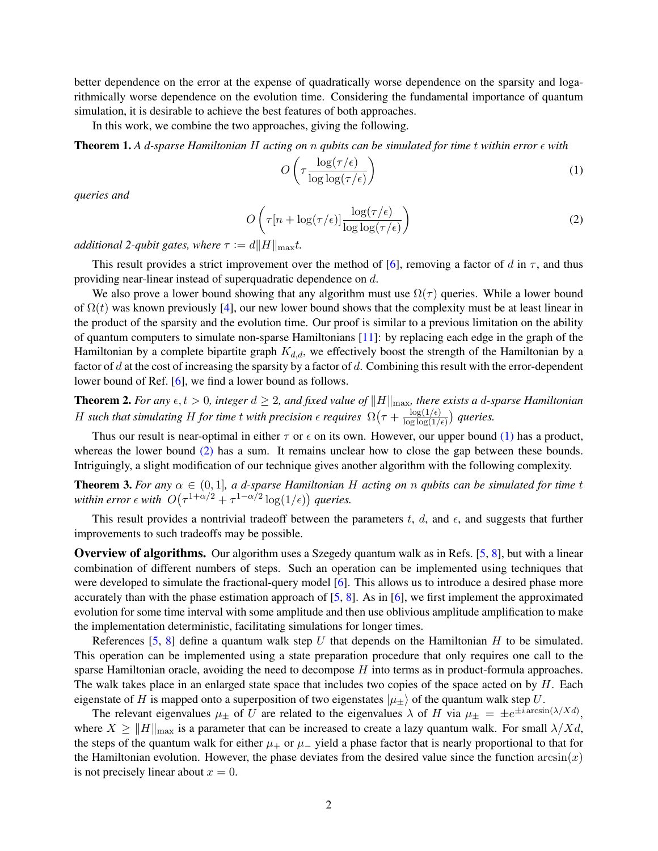better dependence on the error at the expense of quadratically worse dependence on the sparsity and logarithmically worse dependence on the evolution time. Considering the fundamental importance of quantum simulation, it is desirable to achieve the best features of both approaches.

In this work, we combine the two approaches, giving the following.

**Theorem 1.** A d-sparse Hamiltonian H acting on n qubits can be simulated for time t within error  $\epsilon$  with

<span id="page-1-0"></span>
$$
O\left(\tau \frac{\log(\tau/\epsilon)}{\log \log(\tau/\epsilon)}\right) \tag{1}
$$

*queries and*

$$
O\left(\tau[n + \log(\tau/\epsilon)] \frac{\log(\tau/\epsilon)}{\log \log(\tau/\epsilon)}\right)
$$
 (2)

*additional 2-qubit gates, where*  $\tau := d||H||_{\text{max}}t$ .

This result provides a strict improvement over the method of [\[6\]](#page-3-5), removing a factor of d in  $\tau$ , and thus providing near-linear instead of superquadratic dependence on d.

We also prove a lower bound showing that any algorithm must use  $\Omega(\tau)$  queries. While a lower bound of  $\Omega(t)$  was known previously [\[4\]](#page-3-3), our new lower bound shows that the complexity must be at least linear in the product of the sparsity and the evolution time. Our proof is similar to a previous limitation on the ability of quantum computers to simulate non-sparse Hamiltonians [\[11\]](#page-3-14): by replacing each edge in the graph of the Hamiltonian by a complete bipartite graph  $K_{d,d}$ , we effectively boost the strength of the Hamiltonian by a factor of  $d$  at the cost of increasing the sparsity by a factor of  $d$ . Combining this result with the error-dependent lower bound of Ref. [\[6\]](#page-3-5), we find a lower bound as follows.

<span id="page-1-1"></span>**Theorem 2.** For any  $\epsilon, t > 0$ , integer  $d \geq 2$ , and fixed value of  $||H||_{\text{max}}$ , there exists a d-sparse Hamiltonian H such that simulating H for time t with precision  $\epsilon$  requires  $\Omega(\tau + \frac{\log(1/\epsilon)}{\log \log(1/\epsilon)})$  $\frac{\log(1/\epsilon)}{\log\log(1/\epsilon)}$ ) queries.

Thus our result is near-optimal in either  $\tau$  or  $\epsilon$  on its own. However, our upper bound [\(1\)](#page-1-0) has a product, whereas the lower bound [\(2\)](#page-1-1) has a sum. It remains unclear how to close the gap between these bounds. Intriguingly, a slight modification of our technique gives another algorithm with the following complexity.

<span id="page-1-2"></span>**Theorem 3.** For any  $\alpha \in (0,1]$ , a d-sparse Hamiltonian H acting on n qubits can be simulated for time t within error  $\epsilon$  with  $O(\tau^{1+\alpha/2} + \tau^{1-\alpha/2} \log(1/\epsilon))$  queries.

This result provides a nontrivial tradeoff between the parameters t, d, and  $\epsilon$ , and suggests that further improvements to such tradeoffs may be possible.

**Overview of algorithms.** Our algorithm uses a Szegedy quantum walk as in Refs. [\[5,](#page-3-4) [8\]](#page-3-7), but with a linear combination of different numbers of steps. Such an operation can be implemented using techniques that were developed to simulate the fractional-query model [\[6\]](#page-3-5). This allows us to introduce a desired phase more accurately than with the phase estimation approach of  $[5, 8]$  $[5, 8]$  $[5, 8]$ . As in  $[6]$ , we first implement the approximated evolution for some time interval with some amplitude and then use oblivious amplitude amplification to make the implementation deterministic, facilitating simulations for longer times.

References [\[5,](#page-3-4) [8\]](#page-3-7) define a quantum walk step U that depends on the Hamiltonian H to be simulated. This operation can be implemented using a state preparation procedure that only requires one call to the sparse Hamiltonian oracle, avoiding the need to decompose  $H$  into terms as in product-formula approaches. The walk takes place in an enlarged state space that includes two copies of the space acted on by  $H$ . Each eigenstate of H is mapped onto a superposition of two eigenstates  $|\mu_{+}\rangle$  of the quantum walk step U.

The relevant eigenvalues  $\mu_{\pm}$  of U are related to the eigenvalues  $\lambda$  of H via  $\mu_{\pm} = \pm e^{\pm i \arcsin(\lambda/Xd)}$ , where  $X \geq ||H||_{\text{max}}$  is a parameter that can be increased to create a lazy quantum walk. For small  $\lambda/Xd$ , the steps of the quantum walk for either  $\mu_+$  or  $\mu_-$  yield a phase factor that is nearly proportional to that for the Hamiltonian evolution. However, the phase deviates from the desired value since the function  $arcsin(x)$ is not precisely linear about  $x = 0$ .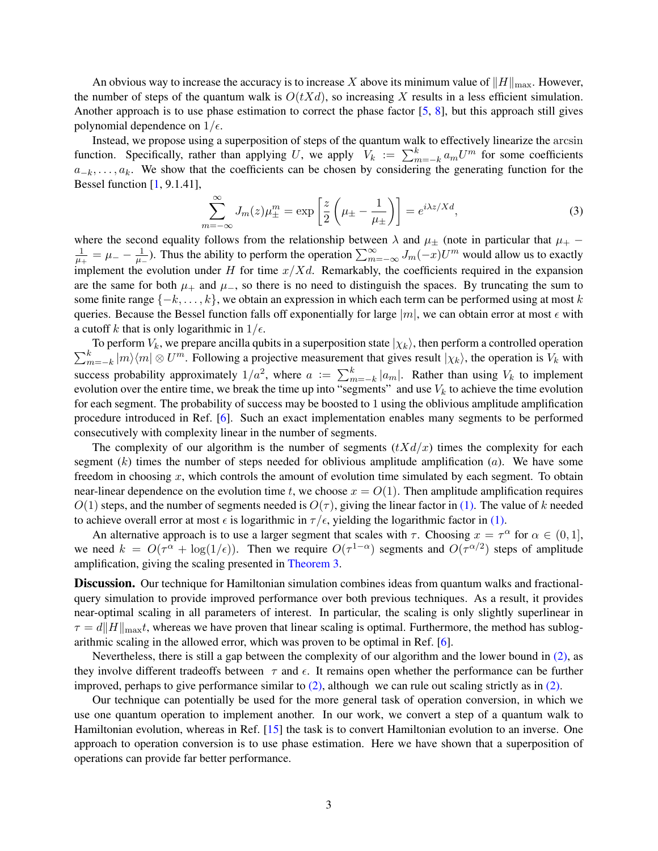An obvious way to increase the accuracy is to increase X above its minimum value of  $||H||_{\text{max}}$ . However, the number of steps of the quantum walk is  $O(tXd)$ , so increasing X results in a less efficient simulation. Another approach is to use phase estimation to correct the phase factor  $[5, 8]$  $[5, 8]$  $[5, 8]$ , but this approach still gives polynomial dependence on  $1/\epsilon$ .

Instead, we propose using a superposition of steps of the quantum walk to effectively linearize the arcsin function. Specifically, rather than applying U, we apply  $V_k := \sum_{m=-k}^{k} a_m U^m$  for some coefficients  $a_{-k}, \ldots, a_k$ . We show that the coefficients can be chosen by considering the generating function for the Bessel function [\[1,](#page-3-15) 9.1.41],

$$
\sum_{m=-\infty}^{\infty} J_m(z) \mu_{\pm}^m = \exp\left[\frac{z}{2}\left(\mu_{\pm} - \frac{1}{\mu_{\pm}}\right)\right] = e^{i\lambda z/Xd},\tag{3}
$$

where the second equality follows from the relationship between  $\lambda$  and  $\mu_{\pm}$  (note in particular that  $\mu_{+}$  – 1  $\frac{1}{\mu_+} = \mu_- - \frac{1}{\mu_-}$  $\frac{1}{\mu_-}$ ). Thus the ability to perform the operation  $\sum_{m=-\infty}^{\infty} J_m(-x)U^m$  would allow us to exactly implement the evolution under H for time  $x/Xd$ . Remarkably, the coefficients required in the expansion are the same for both  $\mu_+$  and  $\mu_-$ , so there is no need to distinguish the spaces. By truncating the sum to some finite range  $\{-k, \ldots, k\}$ , we obtain an expression in which each term can be performed using at most k queries. Because the Bessel function falls off exponentially for large  $|m|$ , we can obtain error at most  $\epsilon$  with a cutoff k that is only logarithmic in  $1/\epsilon$ .

 $\sum_{n=1}^{k}$ To perform  $V_k$ , we prepare ancilla qubits in a superposition state  $|\chi_k\rangle$ , then perform a controlled operation  $_{m=-k}^{k}$   $|m\rangle\langle m|\otimes U^{m}$ . Following a projective measurement that gives result  $|\chi_{k}\rangle$ , the operation is  $V_{k}$  with success probability approximately  $1/a^2$ , where  $a := \sum_{m=-k}^{k} |a_m|$ . Rather than using  $V_k$  to implement evolution over the entire time, we break the time up into "segments" and use  $V_k$  to achieve the time evolution for each segment. The probability of success may be boosted to 1 using the oblivious amplitude amplification procedure introduced in Ref. [\[6\]](#page-3-5). Such an exact implementation enables many segments to be performed consecutively with complexity linear in the number of segments.

The complexity of our algorithm is the number of segments  $(tXd/x)$  times the complexity for each segment  $(k)$  times the number of steps needed for oblivious amplitude amplification  $(a)$ . We have some freedom in choosing  $x$ , which controls the amount of evolution time simulated by each segment. To obtain near-linear dependence on the evolution time t, we choose  $x = O(1)$ . Then amplitude amplification requires  $O(1)$  steps, and the number of segments needed is  $O(\tau)$ , giving the linear factor in [\(1\).](#page-1-0) The value of k needed to achieve overall error at most  $\epsilon$  is logarithmic in  $\tau/\epsilon$ , yielding the logarithmic factor in [\(1\).](#page-1-0)

An alternative approach is to use a larger segment that scales with  $\tau$ . Choosing  $x = \tau^{\alpha}$  for  $\alpha \in (0, 1]$ , we need  $k = O(\tau^{\alpha} + \log(1/\epsilon))$ . Then we require  $O(\tau^{1-\alpha})$  segments and  $O(\tau^{\alpha/2})$  steps of amplitude amplification, giving the scaling presented in [Theorem 3.](#page-1-2)

**Discussion.** Our technique for Hamiltonian simulation combines ideas from quantum walks and fractionalquery simulation to provide improved performance over both previous techniques. As a result, it provides near-optimal scaling in all parameters of interest. In particular, the scaling is only slightly superlinear in  $\tau = d||H||_{\text{max}}$ , whereas we have proven that linear scaling is optimal. Furthermore, the method has sublogarithmic scaling in the allowed error, which was proven to be optimal in Ref. [\[6\]](#page-3-5).

Nevertheless, there is still a gap between the complexity of our algorithm and the lower bound in [\(2\),](#page-1-1) as they involve different tradeoffs between  $\tau$  and  $\epsilon$ . It remains open whether the performance can be further improved, perhaps to give performance similar to  $(2)$ , although we can rule out scaling strictly as in  $(2)$ .

Our technique can potentially be used for the more general task of operation conversion, in which we use one quantum operation to implement another. In our work, we convert a step of a quantum walk to Hamiltonian evolution, whereas in Ref. [\[15\]](#page-3-11) the task is to convert Hamiltonian evolution to an inverse. One approach to operation conversion is to use phase estimation. Here we have shown that a superposition of operations can provide far better performance.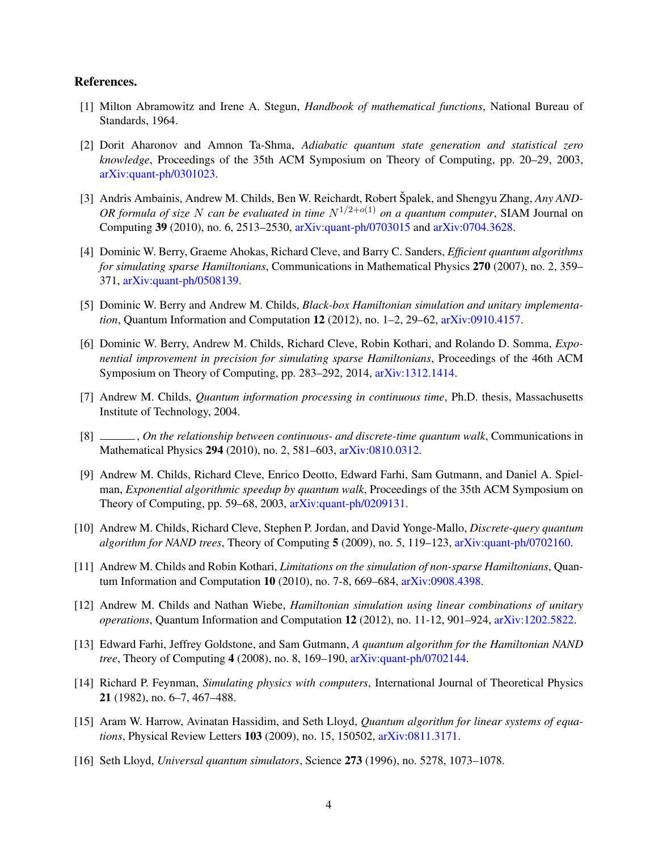## References.

- <span id="page-3-15"></span>[1] Milton Abramowitz and Irene A. Stegun, *Handbook of mathematical functions*, National Bureau of Standards, 1964.
- <span id="page-3-2"></span>[2] Dorit Aharonov and Amnon Ta-Shma, *Adiabatic quantum state generation and statistical zero knowledge*, Proceedings of the 35th ACM Symposium on Theory of Computing, pp. 20–29, 2003, [arXiv:quant-ph/0301023.](http://arxiv.org/abs/arXiv:quant-ph/0301023)
- <span id="page-3-13"></span>[3] Andris Ambainis, Andrew M. Childs, Ben W. Reichardt, Robert Špalek, and Shengyu Zhang, Any AND-*OR formula of size* N *can be evaluated in time*  $N^{1/2+o(1)}$  *on a quantum computer*, SIAM Journal on Computing 39 (2010), no. 6, 2513–2530, [arXiv:quant-ph/0703015](http://arxiv.org/abs/arXiv:quant-ph/0703015) and [arXiv:0704.3628.](http://arxiv.org/abs/arXiv:0704.3628)
- <span id="page-3-3"></span>[4] Dominic W. Berry, Graeme Ahokas, Richard Cleve, and Barry C. Sanders, *Efficient quantum algorithms for simulating sparse Hamiltonians*, Communications in Mathematical Physics 270 (2007), no. 2, 359– 371, [arXiv:quant-ph/0508139.](http://arxiv.org/abs/arXiv:quant-ph/0508139)
- <span id="page-3-4"></span>[5] Dominic W. Berry and Andrew M. Childs, *Black-box Hamiltonian simulation and unitary implementation*, Quantum Information and Computation 12 (2012), no. 1–2, 29–62, [arXiv:0910.4157.](http://arxiv.org/abs/arXiv:0910.4157)
- <span id="page-3-5"></span>[6] Dominic W. Berry, Andrew M. Childs, Richard Cleve, Robin Kothari, and Rolando D. Somma, *Exponential improvement in precision for simulating sparse Hamiltonians*, Proceedings of the 46th ACM Symposium on Theory of Computing, pp. 283–292, 2014, [arXiv:1312.1414.](http://arxiv.org/abs/arXiv:1312.1414)
- <span id="page-3-6"></span>[7] Andrew M. Childs, *Quantum information processing in continuous time*, Ph.D. thesis, Massachusetts Institute of Technology, 2004.
- <span id="page-3-7"></span>[8] , *On the relationship between continuous- and discrete-time quantum walk*, Communications in Mathematical Physics 294 (2010), no. 2, 581–603, [arXiv:0810.0312.](http://arxiv.org/abs/arXiv:0810.0312)
- <span id="page-3-9"></span>[9] Andrew M. Childs, Richard Cleve, Enrico Deotto, Edward Farhi, Sam Gutmann, and Daniel A. Spielman, *Exponential algorithmic speedup by quantum walk*, Proceedings of the 35th ACM Symposium on Theory of Computing, pp. 59–68, 2003, [arXiv:quant-ph/0209131.](http://arxiv.org/abs/arXiv:quant-ph/0209131)
- <span id="page-3-10"></span>[10] Andrew M. Childs, Richard Cleve, Stephen P. Jordan, and David Yonge-Mallo, *Discrete-query quantum algorithm for NAND trees*, Theory of Computing 5 (2009), no. 5, 119–123, [arXiv:quant-ph/0702160.](http://arxiv.org/abs/arXiv:quant-ph/0702160)
- <span id="page-3-14"></span>[11] Andrew M. Childs and Robin Kothari, *Limitations on the simulation of non-sparse Hamiltonians*, Quantum Information and Computation 10 (2010), no. 7-8, 669–684, [arXiv:0908.4398.](http://arxiv.org/abs/arXiv:0908.4398)
- <span id="page-3-8"></span>[12] Andrew M. Childs and Nathan Wiebe, *Hamiltonian simulation using linear combinations of unitary operations*, Quantum Information and Computation 12 (2012), no. 11-12, 901–924, [arXiv:1202.5822.](http://arxiv.org/abs/arXiv:1202.5822)
- <span id="page-3-12"></span>[13] Edward Farhi, Jeffrey Goldstone, and Sam Gutmann, *A quantum algorithm for the Hamiltonian NAND tree*, Theory of Computing 4 (2008), no. 8, 169–190, [arXiv:quant-ph/0702144.](http://arxiv.org/abs/arXiv:quant-ph/0702144)
- <span id="page-3-0"></span>[14] Richard P. Feynman, *Simulating physics with computers*, International Journal of Theoretical Physics 21 (1982), no. 6–7, 467–488.
- <span id="page-3-11"></span>[15] Aram W. Harrow, Avinatan Hassidim, and Seth Lloyd, *Quantum algorithm for linear systems of equations*, Physical Review Letters 103 (2009), no. 15, 150502, [arXiv:0811.3171.](http://arxiv.org/abs/arXiv:0811.3171)
- <span id="page-3-1"></span>[16] Seth Lloyd, *Universal quantum simulators*, Science 273 (1996), no. 5278, 1073–1078.